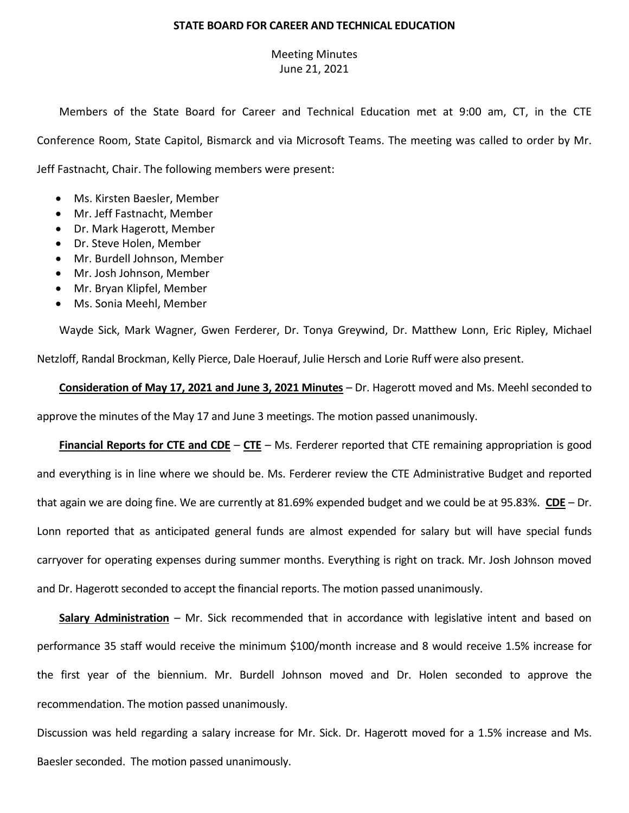## **STATE BOARD FOR CAREER AND TECHNICAL EDUCATION**

## Meeting Minutes June 21, 2021

Members of the State Board for Career and Technical Education met at 9:00 am, CT, in the CTE Conference Room, State Capitol, Bismarck and via Microsoft Teams. The meeting was called to order by Mr. Jeff Fastnacht, Chair. The following members were present:

- Ms. Kirsten Baesler, Member
- Mr. Jeff Fastnacht, Member
- Dr. Mark Hagerott, Member
- Dr. Steve Holen, Member
- Mr. Burdell Johnson, Member
- Mr. Josh Johnson, Member
- Mr. Bryan Klipfel, Member
- Ms. Sonia Meehl, Member

Wayde Sick, Mark Wagner, Gwen Ferderer, Dr. Tonya Greywind, Dr. Matthew Lonn, Eric Ripley, Michael Netzloff, Randal Brockman, Kelly Pierce, Dale Hoerauf, Julie Hersch and Lorie Ruff were also present.

**Consideration of May 17, 2021 and June 3, 2021 Minutes** – Dr. Hagerott moved and Ms. Meehl seconded to approve the minutes of the May 17 and June 3 meetings. The motion passed unanimously.

**Financial Reports for CTE and CDE** – **CTE** – Ms. Ferderer reported that CTE remaining appropriation is good and everything is in line where we should be. Ms. Ferderer review the CTE Administrative Budget and reported that again we are doing fine. We are currently at 81.69% expended budget and we could be at 95.83%. **CDE** – Dr. Lonn reported that as anticipated general funds are almost expended for salary but will have special funds carryover for operating expenses during summer months. Everything is right on track. Mr. Josh Johnson moved and Dr. Hagerott seconded to accept the financial reports. The motion passed unanimously.

**Salary Administration** – Mr. Sick recommended that in accordance with legislative intent and based on performance 35 staff would receive the minimum \$100/month increase and 8 would receive 1.5% increase for the first year of the biennium. Mr. Burdell Johnson moved and Dr. Holen seconded to approve the recommendation. The motion passed unanimously.

Discussion was held regarding a salary increase for Mr. Sick. Dr. Hagerott moved for a 1.5% increase and Ms. Baesler seconded. The motion passed unanimously.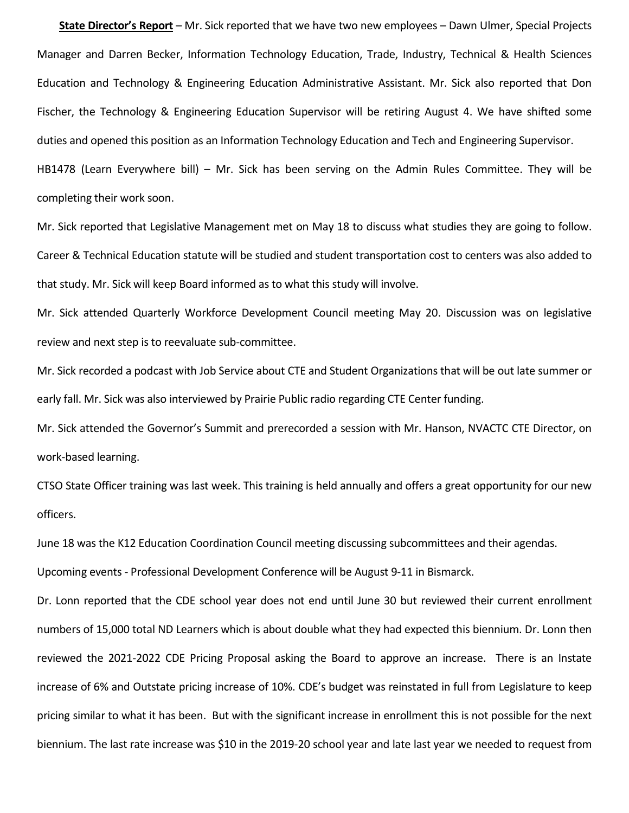**State Director's Report** – Mr. Sick reported that we have two new employees – Dawn Ulmer, Special Projects Manager and Darren Becker, Information Technology Education, Trade, Industry, Technical & Health Sciences Education and Technology & Engineering Education Administrative Assistant. Mr. Sick also reported that Don Fischer, the Technology & Engineering Education Supervisor will be retiring August 4. We have shifted some duties and opened this position as an Information Technology Education and Tech and Engineering Supervisor. HB1478 (Learn Everywhere bill) – Mr. Sick has been serving on the Admin Rules Committee. They will be completing their work soon.

Mr. Sick reported that Legislative Management met on May 18 to discuss what studies they are going to follow. Career & Technical Education statute will be studied and student transportation cost to centers was also added to that study. Mr. Sick will keep Board informed as to what this study will involve.

Mr. Sick attended Quarterly Workforce Development Council meeting May 20. Discussion was on legislative review and next step is to reevaluate sub-committee.

Mr. Sick recorded a podcast with Job Service about CTE and Student Organizations that will be out late summer or early fall. Mr. Sick was also interviewed by Prairie Public radio regarding CTE Center funding.

Mr. Sick attended the Governor's Summit and prerecorded a session with Mr. Hanson, NVACTC CTE Director, on work-based learning.

CTSO State Officer training was last week. This training is held annually and offers a great opportunity for our new officers.

June 18 was the K12 Education Coordination Council meeting discussing subcommittees and their agendas.

Upcoming events - Professional Development Conference will be August 9-11 in Bismarck.

Dr. Lonn reported that the CDE school year does not end until June 30 but reviewed their current enrollment numbers of 15,000 total ND Learners which is about double what they had expected this biennium. Dr. Lonn then reviewed the 2021-2022 CDE Pricing Proposal asking the Board to approve an increase. There is an Instate increase of 6% and Outstate pricing increase of 10%. CDE's budget was reinstated in full from Legislature to keep pricing similar to what it has been. But with the significant increase in enrollment this is not possible for the next biennium. The last rate increase was \$10 in the 2019-20 school year and late last year we needed to request from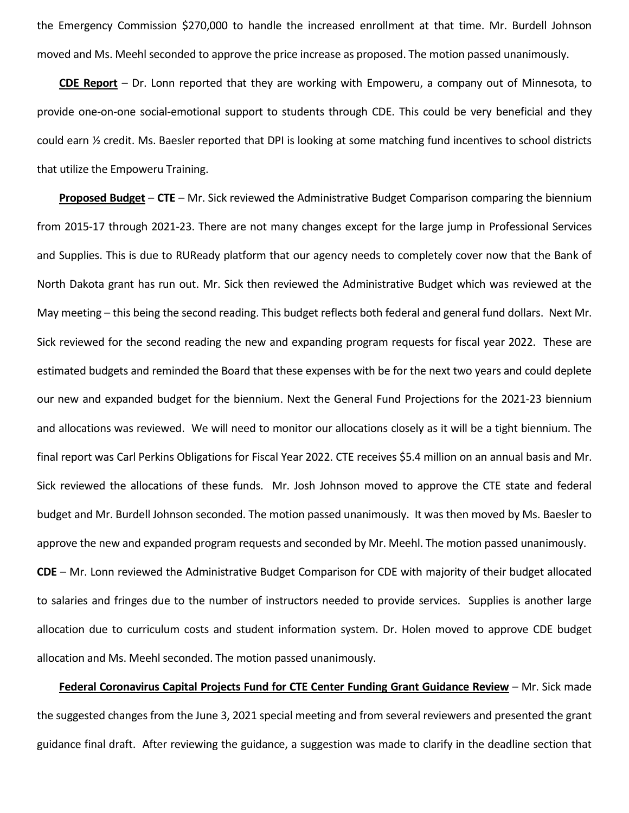the Emergency Commission \$270,000 to handle the increased enrollment at that time. Mr. Burdell Johnson moved and Ms. Meehl seconded to approve the price increase as proposed. The motion passed unanimously.

**CDE Report** – Dr. Lonn reported that they are working with Empoweru, a company out of Minnesota, to provide one-on-one social-emotional support to students through CDE. This could be very beneficial and they could earn ½ credit. Ms. Baesler reported that DPI is looking at some matching fund incentives to school districts that utilize the Empoweru Training.

**Proposed Budget** – **CTE** – Mr. Sick reviewed the Administrative Budget Comparison comparing the biennium from 2015-17 through 2021-23. There are not many changes except for the large jump in Professional Services and Supplies. This is due to RUReady platform that our agency needs to completely cover now that the Bank of North Dakota grant has run out. Mr. Sick then reviewed the Administrative Budget which was reviewed at the May meeting – this being the second reading. This budget reflects both federal and general fund dollars. Next Mr. Sick reviewed for the second reading the new and expanding program requests for fiscal year 2022. These are estimated budgets and reminded the Board that these expenses with be for the next two years and could deplete our new and expanded budget for the biennium. Next the General Fund Projections for the 2021-23 biennium and allocations was reviewed. We will need to monitor our allocations closely as it will be a tight biennium. The final report was Carl Perkins Obligations for Fiscal Year 2022. CTE receives \$5.4 million on an annual basis and Mr. Sick reviewed the allocations of these funds. Mr. Josh Johnson moved to approve the CTE state and federal budget and Mr. Burdell Johnson seconded. The motion passed unanimously. It was then moved by Ms. Baesler to approve the new and expanded program requests and seconded by Mr. Meehl. The motion passed unanimously. **CDE** – Mr. Lonn reviewed the Administrative Budget Comparison for CDE with majority of their budget allocated to salaries and fringes due to the number of instructors needed to provide services. Supplies is another large allocation due to curriculum costs and student information system. Dr. Holen moved to approve CDE budget allocation and Ms. Meehl seconded. The motion passed unanimously.

**Federal Coronavirus Capital Projects Fund for CTE Center Funding Grant Guidance Review** – Mr. Sick made the suggested changes from the June 3, 2021 special meeting and from several reviewers and presented the grant guidance final draft. After reviewing the guidance, a suggestion was made to clarify in the deadline section that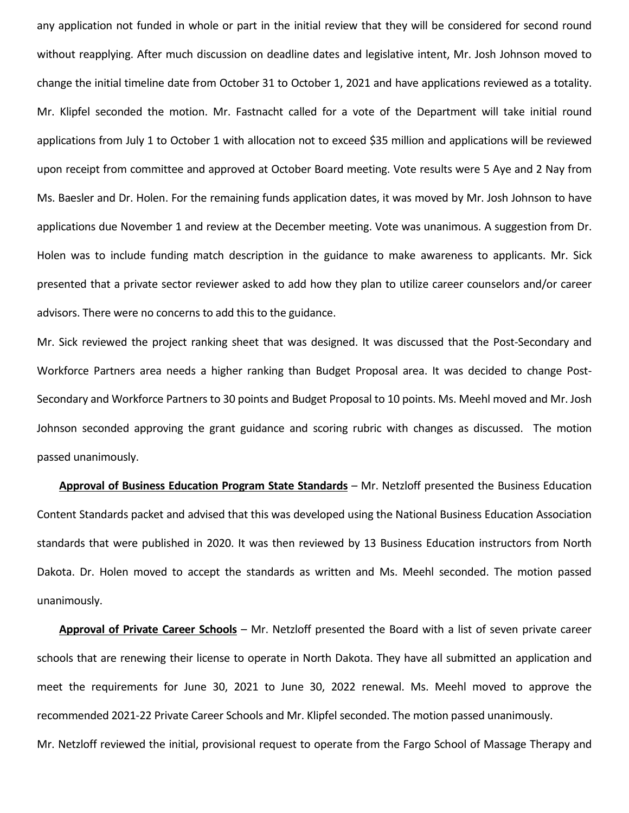any application not funded in whole or part in the initial review that they will be considered for second round without reapplying. After much discussion on deadline dates and legislative intent, Mr. Josh Johnson moved to change the initial timeline date from October 31 to October 1, 2021 and have applications reviewed as a totality. Mr. Klipfel seconded the motion. Mr. Fastnacht called for a vote of the Department will take initial round applications from July 1 to October 1 with allocation not to exceed \$35 million and applications will be reviewed upon receipt from committee and approved at October Board meeting. Vote results were 5 Aye and 2 Nay from Ms. Baesler and Dr. Holen. For the remaining funds application dates, it was moved by Mr. Josh Johnson to have applications due November 1 and review at the December meeting. Vote was unanimous. A suggestion from Dr. Holen was to include funding match description in the guidance to make awareness to applicants. Mr. Sick presented that a private sector reviewer asked to add how they plan to utilize career counselors and/or career advisors. There were no concerns to add this to the guidance.

Mr. Sick reviewed the project ranking sheet that was designed. It was discussed that the Post-Secondary and Workforce Partners area needs a higher ranking than Budget Proposal area. It was decided to change Post-Secondary and Workforce Partners to 30 points and Budget Proposal to 10 points. Ms. Meehl moved and Mr. Josh Johnson seconded approving the grant guidance and scoring rubric with changes as discussed. The motion passed unanimously.

**Approval of Business Education Program State Standards** – Mr. Netzloff presented the Business Education Content Standards packet and advised that this was developed using the National Business Education Association standards that were published in 2020. It was then reviewed by 13 Business Education instructors from North Dakota. Dr. Holen moved to accept the standards as written and Ms. Meehl seconded. The motion passed unanimously.

**Approval of Private Career Schools** – Mr. Netzloff presented the Board with a list of seven private career schools that are renewing their license to operate in North Dakota. They have all submitted an application and meet the requirements for June 30, 2021 to June 30, 2022 renewal. Ms. Meehl moved to approve the recommended 2021-22 Private Career Schools and Mr. Klipfel seconded. The motion passed unanimously.

Mr. Netzloff reviewed the initial, provisional request to operate from the Fargo School of Massage Therapy and